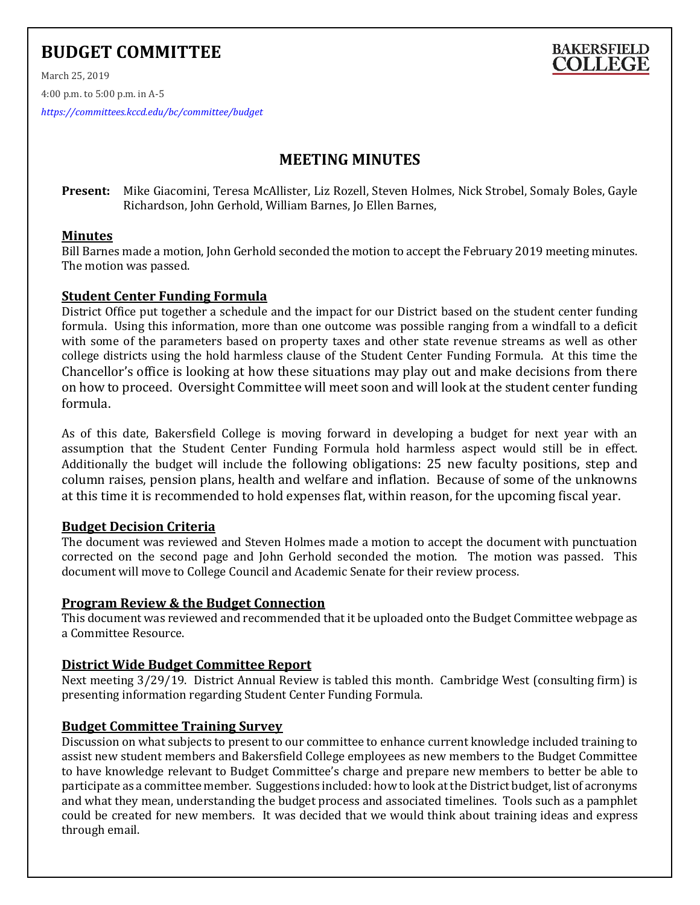# **BUDGET COMMITTEE**

March 25, 2019

4:00 p.m. to 5:00 p.m. in A-5

*<https://committees.kccd.edu/bc/committee/budget>*

## **MEETING MINUTES**

**BAKERSFIELD COLLEGE** 

**Present:** Mike Giacomini, Teresa McAllister, Liz Rozell, Steven Holmes, Nick Strobel, Somaly Boles, Gayle Richardson, John Gerhold, William Barnes, Jo Ellen Barnes,

#### **Minutes**

Bill Barnes made a motion, John Gerhold seconded the motion to accept the February 2019 meeting minutes. The motion was passed.

#### **Student Center Funding Formula**

District Office put together a schedule and the impact for our District based on the student center funding formula. Using this information, more than one outcome was possible ranging from a windfall to a deficit with some of the parameters based on property taxes and other state revenue streams as well as other college districts using the hold harmless clause of the Student Center Funding Formula. At this time the Chancellor's office is looking at how these situations may play out and make decisions from there on how to proceed. Oversight Committee will meet soon and will look at the student center funding formula.

As of this date, Bakersfield College is moving forward in developing a budget for next year with an assumption that the Student Center Funding Formula hold harmless aspect would still be in effect. Additionally the budget will include the following obligations: 25 new faculty positions, step and column raises, pension plans, health and welfare and inflation. Because of some of the unknowns at this time it is recommended to hold expenses flat, within reason, for the upcoming fiscal year.

#### **Budget Decision Criteria**

The document was reviewed and Steven Holmes made a motion to accept the document with punctuation corrected on the second page and John Gerhold seconded the motion. The motion was passed. This document will move to College Council and Academic Senate for their review process.

#### **Program Review & the Budget Connection**

This document was reviewed and recommended that it be uploaded onto the Budget Committee webpage as a Committee Resource.

#### **District Wide Budget Committee Report**

Next meeting 3/29/19. District Annual Review is tabled this month. Cambridge West (consulting firm) is presenting information regarding Student Center Funding Formula.

#### **Budget Committee Training Survey**

Discussion on what subjects to present to our committee to enhance current knowledge included training to assist new student members and Bakersfield College employees as new members to the Budget Committee to have knowledge relevant to Budget Committee's charge and prepare new members to better be able to participate as a committee member. Suggestions included: how to look at the District budget, list of acronyms and what they mean, understanding the budget process and associated timelines. Tools such as a pamphlet could be created for new members. It was decided that we would think about training ideas and express through email.